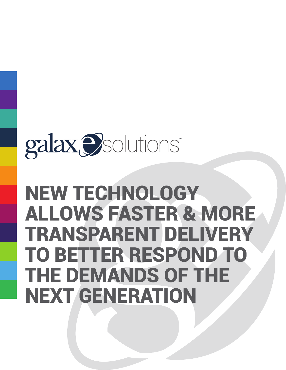# galax *D*solutions\*

# NEW TECHNOLOGY ALLOWS FASTER & MORE TRANSPARENT DELIVERY TO BETTER RESPOND TO THE DEMANDS OF THE NEXT GENERATION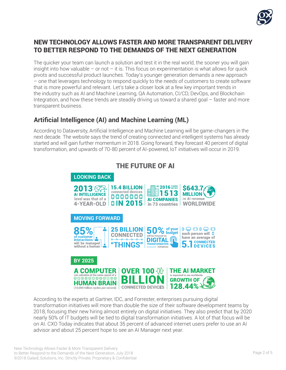

## NEW TECHNOLOGY ALLOWS FASTER AND MORE TRANSPARENT DELIVERY TO BETTER RESPOND TO THE DEMANDS OF THE NEXT GENERATION

The quicker your team can launch a solution and test it in the real world, the sooner you will gain insight into how valuable – or not – it is. This focus on experimentation is what allows for quick pivots and successful product launches. Today's younger generation demands a new approach – one that leverages technology to respond quickly to the needs of customers to create software that is more powerful and relevant. Let's take a closer look at a few key important trends in the industry such as AI and Machine Learning, QA Automation, CI/CD, DevOps, and Blockchain Integration, and how these trends are steadily driving us toward a shared goal – faster and more transparent business.

# **Artificial Intelligence (AI) and Machine Learning (ML)**

According to Dataversity, Artificial Intelligence and Machine Learning will be game-changers in the next decade. The website says the trend of creating connected and intelligent systems has already started and will gain further momentum in 2018. Going forward, they forecast 40 percent of digital transformation, and upwards of 70-80 percent of AI-powered, IoT initiatives will occur in 2019.



According to the experts at Gartner, IDC, and Forrester, enterprises pursuing digital transformation initiatives will more than double the size of their software development teams by 2018, focusing their new hiring almost entirely on digital initiatives. They also predict that by 2020 nearly 50% of IT budgets will be tied to digital transformation initiatives. A lot of that focus will be on AI. CXO Today indicates that about 35 percent of advanced internet users prefer to use an AI advisor and about 25 percent hope to see an AI Manager next year.

#### $T$  . The function of  $T$ THE FUTURE OF AI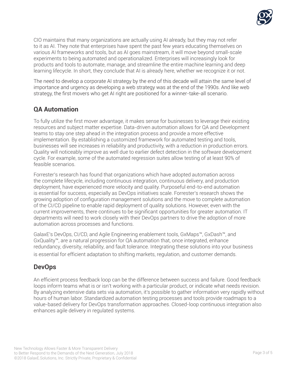

CIO maintains that many organizations are actually using AI already, but they may not refer to it as AI. They note that enterprises have spent the past few years educating themselves on various AI frameworks and tools, but as AI goes mainstream, it will move beyond small-scale experiments to being automated and operationalized. Enterprises will increasingly look for products and tools to automate, manage, and streamline the entire machine learning and deep learning lifecycle. In short, they conclude that AI is already here, whether we recognize it or not.

The need to develop a corporate AI strategy by the end of this decade will attain the same level of importance and urgency as developing a web strategy was at the end of the 1990s. And like web strategy, the first movers who get AI right are positioned for a winner-take-all scenario.

# **QA Automation**

To fully utilize the first mover advantage, it makes sense for businesses to leverage their existing resources and subject matter expertise. Data-driven automation allows for QA and Development teams to stay one step ahead in the integration process and provide a more effective implementation. By establishing a customized framework for automated testing and tools, businesses will see increases in reliability and productivity, with a reduction in production errors. Quality will noticeably improve as well due to earlier defect detection in the software development cycle. For example, some of the automated regression suites allow testing of at least 90% of feasible scenarios.

Forrester's research has found that organizations which have adopted automation across the complete lifecycle, including continuous integration, continuous delivery, and production deployment, have experienced more velocity and quality. Purposeful end-to-end automation is essential for success, especially as DevOps initiatives scale. Forrester's research shows the growing adoption of configuration management solutions and the move to complete automation of the CI/CD pipeline to enable rapid deployment of quality solutions. However, even with the current improvements, there continues to be significant opportunities for greater automation. IT departments will need to work closely with their DevOps partners to drive the adoption of more automation across processes and functions.

GalaxE's DevOps, CI/CD, and Agile Engineering enablement tools, GxMaps™, GxDash™, and GxQuality™, are a natural progression for QA automation that, once integrated, enhance redundancy, diversity, reliability, and fault tolerance. Integrating these solutions into your business is essential for efficient adaptation to shifting markets, regulation, and customer demands.

## **DevOps**

An efficient process feedback loop can be the difference between success and failure. Good feedback loops inform teams what is or isn't working with a particular product, or indicate what needs revision. By analyzing extensive data sets via automation, it's possible to gather information very rapidly without hours of human labor. Standardized automation testing processes and tools provide roadmaps to a value-based delivery for DevOps transformation approaches. Closed-loop continuous integration also enhances agile delivery in regulated systems.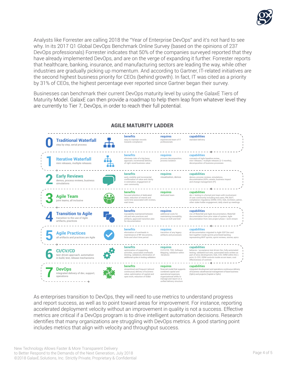

Analysts like Forrester are calling 2018 the "Year of Enterprise DevOps" and it's not hard to see why. In its 2017 Q1 Global DevOps Benchmark Online Survey (based on the opinions of 237 DevOps professionals) Forrester indicates that 50% of the companies surveyed reported that they have already implemented DevOps, and are on the verge of expanding it further. Forrester reports that healthcare, banking, insurance, and manufacturing sectors are leading the way, while other industries are gradually picking up momentum. And according to Gartner, IT-related initiatives are the second highest business priority for CEOs (behind growth). In fact, IT was cited as a priority by 31% of CEOs, the highest percentage ever reported since Gartner began their survey.

Businesses can benchmark their current DevOps maturity level by using the GalaxE Tiers of Maturity Model. GalaxE can then provide a roadmap to help them leap from whatever level they are currently to Tier 7, DevOps, in order to reach their full potential.



As enterprises transition to DevOps, they will need to use metrics to understand progress and report success, as well as to point toward areas for improvement. For instance, reporting accelerated deployment velocity without an improvement in quality is not a success. Effective metrics are critical if a DevOps program is to drive intelligent automation decisions. Research identifies that many organizations are struggling with DevOps metrics. A good starting point includes metrics that align with velocity and throughput success.